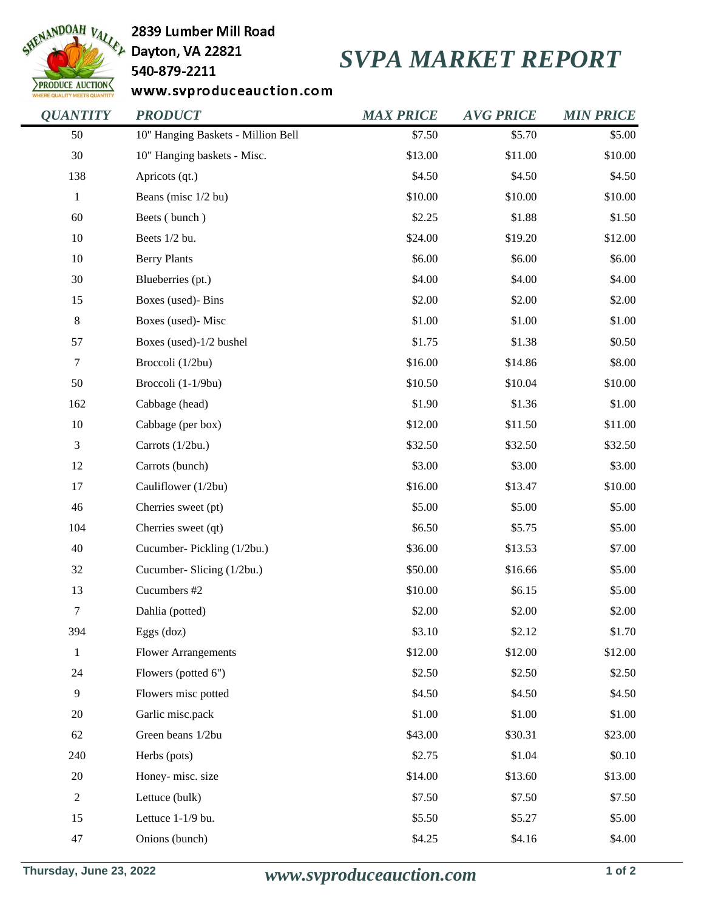

## 2839 Lumber Mill Road

540-879-2211

## *SVPA MARKET REPORT*

www.svproduceauction.com

| <b>QUANTITY</b>  | <b>PRODUCT</b>                     | <b>MAX PRICE</b> | <b>AVG PRICE</b> | <b>MIN PRICE</b> |
|------------------|------------------------------------|------------------|------------------|------------------|
| 50               | 10" Hanging Baskets - Million Bell | \$7.50           | \$5.70           | \$5.00           |
| 30               | 10" Hanging baskets - Misc.        | \$13.00          | \$11.00          | \$10.00          |
| 138              | Apricots (qt.)                     | \$4.50           | \$4.50           | \$4.50           |
| $\mathbf{1}$     | Beans (misc 1/2 bu)                | \$10.00          | \$10.00          | \$10.00          |
| 60               | Beets (bunch)                      | \$2.25           | \$1.88           | \$1.50           |
| 10               | Beets 1/2 bu.                      | \$24.00          | \$19.20          | \$12.00          |
| 10               | <b>Berry Plants</b>                | \$6.00           | \$6.00           | \$6.00           |
| 30               | Blueberries (pt.)                  | \$4.00           | \$4.00           | \$4.00           |
| 15               | Boxes (used)- Bins                 | \$2.00           | \$2.00           | \$2.00           |
| $\,8\,$          | Boxes (used)- Misc                 | \$1.00           | \$1.00           | \$1.00           |
| 57               | Boxes (used)-1/2 bushel            | \$1.75           | \$1.38           | \$0.50           |
| $\boldsymbol{7}$ | Broccoli (1/2bu)                   | \$16.00          | \$14.86          | \$8.00           |
| 50               | Broccoli (1-1/9bu)                 | \$10.50          | \$10.04          | \$10.00          |
| 162              | Cabbage (head)                     | \$1.90           | \$1.36           | \$1.00           |
| 10               | Cabbage (per box)                  | \$12.00          | \$11.50          | \$11.00          |
| $\mathfrak{Z}$   | Carrots (1/2bu.)                   | \$32.50          | \$32.50          | \$32.50          |
| 12               | Carrots (bunch)                    | \$3.00           | \$3.00           | \$3.00           |
| 17               | Cauliflower (1/2bu)                | \$16.00          | \$13.47          | \$10.00          |
| 46               | Cherries sweet (pt)                | \$5.00           | \$5.00           | \$5.00           |
| 104              | Cherries sweet (qt)                | \$6.50           | \$5.75           | \$5.00           |
| 40               | Cucumber-Pickling (1/2bu.)         | \$36.00          | \$13.53          | \$7.00           |
| 32               | Cucumber- Slicing (1/2bu.)         | \$50.00          | \$16.66          | \$5.00           |
| 13               | Cucumbers #2                       | \$10.00          | \$6.15           | \$5.00           |
| $\boldsymbol{7}$ | Dahlia (potted)                    | \$2.00           | \$2.00           | \$2.00           |
| 394              | Eggs (doz)                         | \$3.10           | \$2.12           | \$1.70           |
| $\,1$            | <b>Flower Arrangements</b>         | \$12.00          | \$12.00          | \$12.00          |
| 24               | Flowers (potted 6")                | \$2.50           | \$2.50           | \$2.50           |
| $\overline{9}$   | Flowers misc potted                | \$4.50           | \$4.50           | \$4.50           |
| 20               | Garlic misc.pack                   | \$1.00           | \$1.00           | \$1.00           |
| 62               | Green beans 1/2bu                  | \$43.00          | \$30.31          | \$23.00          |
| 240              | Herbs (pots)                       | \$2.75           | \$1.04           | \$0.10           |
| 20               | Honey- misc. size                  | \$14.00          | \$13.60          | \$13.00          |
| $\sqrt{2}$       | Lettuce (bulk)                     | \$7.50           | \$7.50           | \$7.50           |
| 15               | Lettuce 1-1/9 bu.                  | \$5.50           | \$5.27           | \$5.00           |
| $47\,$           | Onions (bunch)                     | \$4.25           | \$4.16           | \$4.00           |
|                  |                                    |                  |                  |                  |

**Thursday, June 23, 2022** *www.svproduceauction.com* **1 of 2**